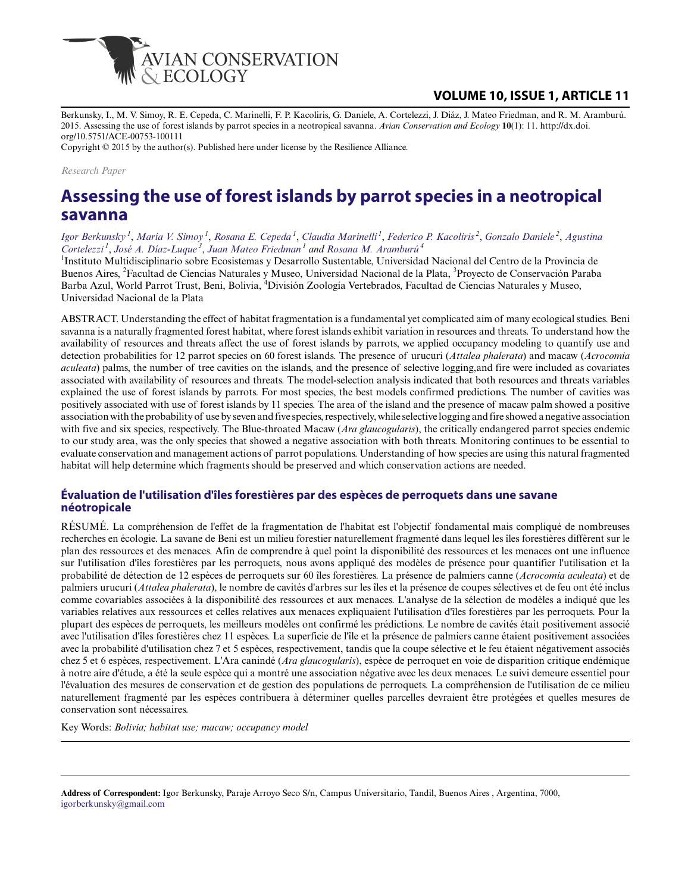

## **VOLUME 10, ISSUE 1, ARTICLE 11**

Berkunsky, I., M. V. Simoy, R. E. Cepeda, C. Marinelli, F. P. Kacoliris, G. Daniele, A. Cortelezzi, J. Diáz, J. Mateo Friedman, and R. M. Aramburú. 2015. Assessing the use of forest islands by parrot species in a neotropical savanna. *Avian Conservation and Ecology* **10**(1): 11. http://dx.doi. org/10.5751/ACE-00753-100111

Copyright © 2015 by the author(s). Published here under license by the Resilience Alliance.

*Research Paper*

# **Assessing the use of forest islands by parrot species in a neotropical savanna**

*[Igor Berkunsky](mailto:igorberkunsky@gmail.com)<sup>1</sup>* , *[María V. Simoy](mailto:vsimoy@gmail.com)<sup>1</sup>* , *[Rosana E. Cepeda](mailto:rocepeda@gmail.com)<sup>1</sup>* , *[Claudia Marinelli](mailto:marinelli.claudia@gmail.com)<sup>1</sup>* , *[Federico P. Kacoliris](mailto:kacoliris@fcnym.unlp.edu.ar)<sup>2</sup>* , *[Gonzalo Daniele](mailto:gdhorus@hotmail.com)<sup>2</sup>* , *[Agustina](mailto:aguscorte@gmail.com) [Cortelezzi](mailto:aguscorte@gmail.com)<sup>1</sup>* , *[José A. Díaz-Luque](mailto:saveparrot@gmail.com)<sup>3</sup>* , *[Juan Mateo Friedman](mailto:mateofriedman@gmail.com)<sup>1</sup> and [Rosana M. Aramburú](mailto:aramburu@fcnym.unlp.edu.ar)<sup>4</sup>*

<sup>1</sup>Instituto Multidisciplinario sobre Ecosistemas y Desarrollo Sustentable, Universidad Nacional del Centro de la Provincia de Buenos Aires, <sup>2</sup>Facultad de Ciencias Naturales y Museo, Universidad Nacional de la Plata, <sup>3</sup>Proyecto de Conservación Paraba Barba Azul, World Parrot Trust, Beni, Bolivia, <sup>4</sup>División Zoología Vertebrados, Facultad de Ciencias Naturales y Museo, Universidad Nacional de la Plata

ABSTRACT. Understanding the effect of habitat fragmentation is a fundamental yet complicated aim of many ecological studies. Beni savanna is a naturally fragmented forest habitat, where forest islands exhibit variation in resources and threats. To understand how the availability of resources and threats affect the use of forest islands by parrots, we applied occupancy modeling to quantify use and detection probabilities for 12 parrot species on 60 forest islands. The presence of urucuri (*Attalea phalerata*) and macaw (*Acrocomia aculeata*) palms, the number of tree cavities on the islands, and the presence of selective logging, and fire were included as covariates associated with availability of resources and threats. The model-selection analysis indicated that both resources and threats variables explained the use of forest islands by parrots. For most species, the best models confirmed predictions. The number of cavities was positively associated with use of forest islands by 11 species. The area of the island and the presence of macaw palm showed a positive association with the probability of use by seven and five species, respectively, while selective logging and fire showed a negative association with five and six species, respectively. The Blue-throated Macaw (*Ara glaucogularis*), the critically endangered parrot species endemic to our study area, was the only species that showed a negative association with both threats. Monitoring continues to be essential to evaluate conservation and management actions of parrot populations. Understanding of how species are using this natural fragmented habitat will help determine which fragments should be preserved and which conservation actions are needed.

## **Évaluation de l'utilisation d'îles forestières par des espèces de perroquets dans une savane néotropicale**

RÉSUMÉ. La compréhension de l'effet de la fragmentation de l'habitat est l'objectif fondamental mais compliqué de nombreuses recherches en écologie. La savane de Beni est un milieu forestier naturellement fragmenté dans lequel les îles forestières diffèrent sur le plan des ressources et des menaces. Afin de comprendre à quel point la disponibilité des ressources et les menaces ont une influence sur l'utilisation d'îles forestières par les perroquets, nous avons appliqué des modèles de présence pour quantifier l'utilisation et la probabilité de détection de 12 espèces de perroquets sur 60 îles forestières. La présence de palmiers canne (*Acrocomia aculeata*) et de palmiers urucuri (*Attalea phalerata*), le nombre de cavités d'arbres sur les îles et la présence de coupes sélectives et de feu ont été inclus comme covariables associées à la disponibilité des ressources et aux menaces. L'analyse de la sélection de modèles a indiqué que les variables relatives aux ressources et celles relatives aux menaces expliquaient l'utilisation d'îles forestières par les perroquets. Pour la plupart des espèces de perroquets, les meilleurs modèles ont confirmé les prédictions. Le nombre de cavités était positivement associé avec l'utilisation d'îles forestières chez 11 espèces. La superficie de l'île et la présence de palmiers canne étaient positivement associées avec la probabilité d'utilisation chez 7 et 5 espèces, respectivement, tandis que la coupe sélective et le feu étaient négativement associés chez 5 et 6 espèces, respectivement. L'Ara canindé (*Ara glaucogularis*), espèce de perroquet en voie de disparition critique endémique à notre aire d'étude, a été la seule espèce qui a montré une association négative avec les deux menaces. Le suivi demeure essentiel pour l'évaluation des mesures de conservation et de gestion des populations de perroquets. La compréhension de l'utilisation de ce milieu naturellement fragmenté par les espèces contribuera à déterminer quelles parcelles devraient être protégées et quelles mesures de conservation sont nécessaires.

Key Words: *Bolivia; habitat use; macaw; occupancy model*

**Address of Correspondent:** Igor Berkunsky, Paraje Arroyo Seco S/n, Campus Universitario, Tandil, Buenos Aires , Argentina, 7000, [igorberkunsky@gmail.com](mailto:igorberkunsky@gmail.com)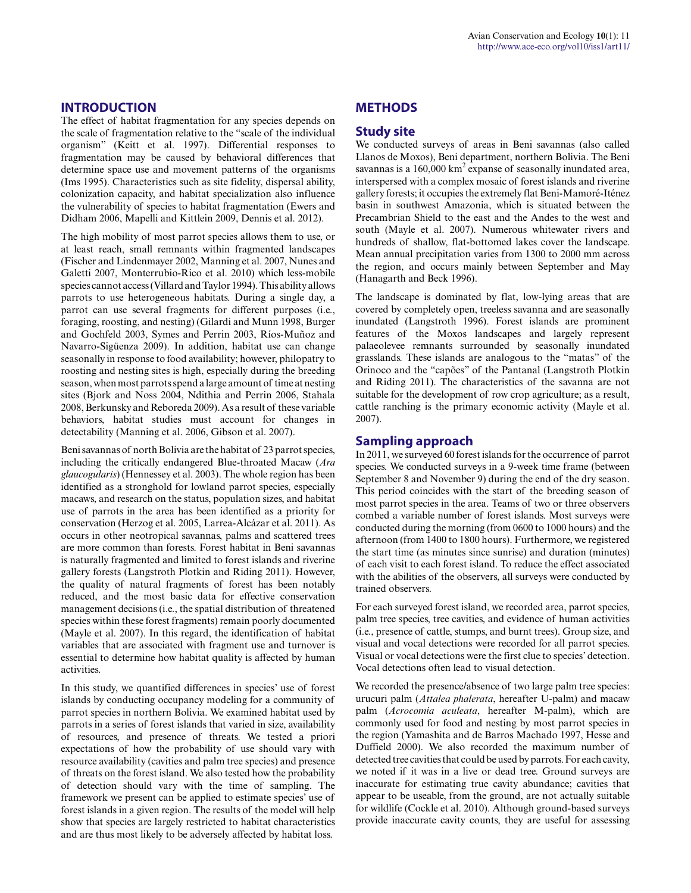## **INTRODUCTION**

The effect of habitat fragmentation for any species depends on the scale of fragmentation relative to the "scale of the individual organism" (Keitt et al. 1997). Differential responses to fragmentation may be caused by behavioral differences that determine space use and movement patterns of the organisms (Ims 1995). Characteristics such as site fidelity, dispersal ability, colonization capacity, and habitat specialization also influence the vulnerability of species to habitat fragmentation (Ewers and Didham 2006, Mapelli and Kittlein 2009, Dennis et al. 2012).

The high mobility of most parrot species allows them to use, or at least reach, small remnants within fragmented landscapes (Fischer and Lindenmayer 2002, Manning et al. 2007, Nunes and Galetti 2007, Monterrubio-Rico et al. 2010) which less-mobile species cannot access (Villard and Taylor 1994). This ability allows parrots to use heterogeneous habitats. During a single day, a parrot can use several fragments for different purposes (i.e., foraging, roosting, and nesting) (Gilardi and Munn 1998, Burger and Gochfeld 2003, Symes and Perrin 2003, Ríos-Muñoz and Navarro-Sigüenza 2009). In addition, habitat use can change seasonally in response to food availability; however, philopatry to roosting and nesting sites is high, especially during the breeding season, when most parrots spend a large amount of time at nesting sites (Bjork and Noss 2004, Ndithia and Perrin 2006, Stahala 2008, Berkunsky and Reboreda 2009). As a result of these variable behaviors, habitat studies must account for changes in detectability (Manning et al. 2006, Gibson et al. 2007).

Beni savannas of north Bolivia are the habitat of 23 parrot species, including the critically endangered Blue-throated Macaw (*Ara glaucogularis*) (Hennessey et al. 2003). The whole region has been identified as a stronghold for lowland parrot species, especially macaws, and research on the status, population sizes, and habitat use of parrots in the area has been identified as a priority for conservation (Herzog et al. 2005, Larrea-Alcázar et al. 2011). As occurs in other neotropical savannas, palms and scattered trees are more common than forests. Forest habitat in Beni savannas is naturally fragmented and limited to forest islands and riverine gallery forests (Langstroth Plotkin and Riding 2011). However, the quality of natural fragments of forest has been notably reduced, and the most basic data for effective conservation management decisions (i.e., the spatial distribution of threatened species within these forest fragments) remain poorly documented (Mayle et al. 2007). In this regard, the identification of habitat variables that are associated with fragment use and turnover is essential to determine how habitat quality is affected by human activities.

In this study, we quantified differences in species' use of forest islands by conducting occupancy modeling for a community of parrot species in northern Bolivia. We examined habitat used by parrots in a series of forest islands that varied in size, availability of resources, and presence of threats. We tested a priori expectations of how the probability of use should vary with resource availability (cavities and palm tree species) and presence of threats on the forest island. We also tested how the probability of detection should vary with the time of sampling. The framework we present can be applied to estimate species' use of forest islands in a given region. The results of the model will help show that species are largely restricted to habitat characteristics and are thus most likely to be adversely affected by habitat loss.

## **METHODS**

## **Study site**

We conducted surveys of areas in Beni savannas (also called Llanos de Moxos), Beni department, northern Bolivia. The Beni savannas is a  $160,000 \text{ km}^2$  expanse of seasonally inundated area, interspersed with a complex mosaic of forest islands and riverine gallery forests; it occupies the extremely flat Beni-Mamoré-Iténez basin in southwest Amazonia, which is situated between the Precambrian Shield to the east and the Andes to the west and south (Mayle et al. 2007). Numerous whitewater rivers and hundreds of shallow, flat-bottomed lakes cover the landscape. Mean annual precipitation varies from 1300 to 2000 mm across the region, and occurs mainly between September and May (Hanagarth and Beck 1996).

The landscape is dominated by flat, low-lying areas that are covered by completely open, treeless savanna and are seasonally inundated (Langstroth 1996). Forest islands are prominent features of the Moxos landscapes and largely represent palaeolevee remnants surrounded by seasonally inundated grasslands. These islands are analogous to the "matas" of the Orinoco and the "capões" of the Pantanal (Langstroth Plotkin and Riding 2011). The characteristics of the savanna are not suitable for the development of row crop agriculture; as a result, cattle ranching is the primary economic activity (Mayle et al. 2007).

#### **Sampling approach**

In 2011, we surveyed 60 forest islands for the occurrence of parrot species. We conducted surveys in a 9-week time frame (between September 8 and November 9) during the end of the dry season. This period coincides with the start of the breeding season of most parrot species in the area. Teams of two or three observers combed a variable number of forest islands. Most surveys were conducted during the morning (from 0600 to 1000 hours) and the afternoon (from 1400 to 1800 hours). Furthermore, we registered the start time (as minutes since sunrise) and duration (minutes) of each visit to each forest island. To reduce the effect associated with the abilities of the observers, all surveys were conducted by trained observers.

For each surveyed forest island, we recorded area, parrot species, palm tree species, tree cavities, and evidence of human activities (i.e., presence of cattle, stumps, and burnt trees). Group size, and visual and vocal detections were recorded for all parrot species. Visual or vocal detections were the first clue to species' detection. Vocal detections often lead to visual detection.

We recorded the presence/absence of two large palm tree species: urucuri palm (*Attalea phalerata*, hereafter U-palm) and macaw palm (*Acrocomia aculeata*, hereafter M-palm), which are commonly used for food and nesting by most parrot species in the region (Yamashita and de Barros Machado 1997, Hesse and Duffield 2000). We also recorded the maximum number of detected tree cavities that could be used by parrots. For each cavity, we noted if it was in a live or dead tree. Ground surveys are inaccurate for estimating true cavity abundance; cavities that appear to be useable, from the ground, are not actually suitable for wildlife (Cockle et al. 2010). Although ground-based surveys provide inaccurate cavity counts, they are useful for assessing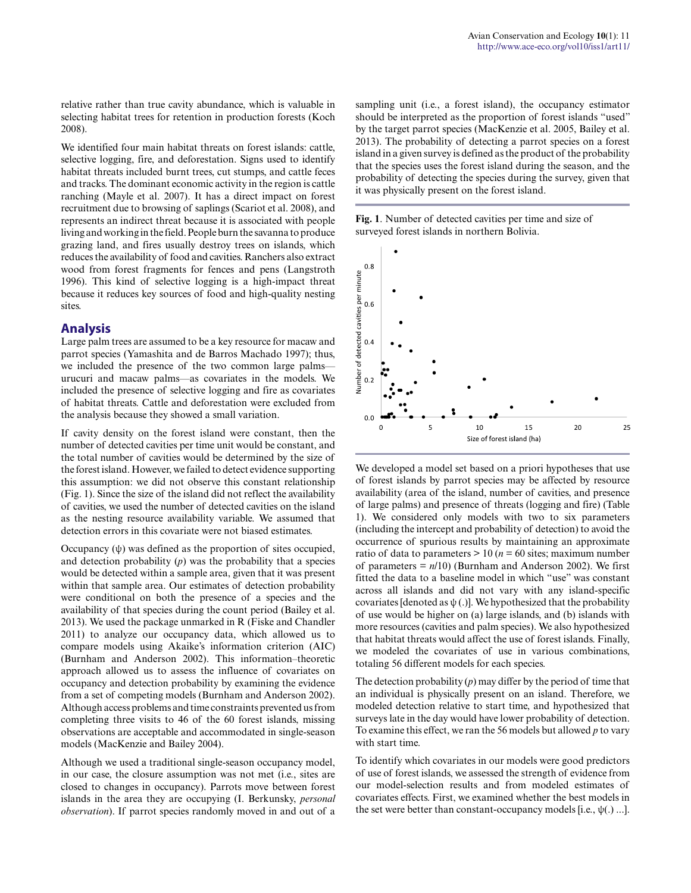relative rather than true cavity abundance, which is valuable in selecting habitat trees for retention in production forests (Koch 2008).

We identified four main habitat threats on forest islands: cattle, selective logging, fire, and deforestation. Signs used to identify habitat threats included burnt trees, cut stumps, and cattle feces and tracks. The dominant economic activity in the region is cattle ranching (Mayle et al. 2007). It has a direct impact on forest recruitment due to browsing of saplings (Scariot et al. 2008), and represents an indirect threat because it is associated with people living and working in the field. People burn the savanna to produce grazing land, and fires usually destroy trees on islands, which reduces the availability of food and cavities. Ranchers also extract wood from forest fragments for fences and pens (Langstroth 1996). This kind of selective logging is a high-impact threat because it reduces key sources of food and high-quality nesting sites.

## **Analysis**

Large palm trees are assumed to be a key resource for macaw and parrot species (Yamashita and de Barros Machado 1997); thus, we included the presence of the two common large palms urucuri and macaw palms—as covariates in the models. We included the presence of selective logging and fire as covariates of habitat threats. Cattle and deforestation were excluded from the analysis because they showed a small variation.

If cavity density on the forest island were constant, then the number of detected cavities per time unit would be constant, and the total number of cavities would be determined by the size of the forest island. However, we failed to detect evidence supporting this assumption: we did not observe this constant relationship (Fig. 1). Since the size of the island did not reflect the availability of cavities, we used the number of detected cavities on the island as the nesting resource availability variable. We assumed that detection errors in this covariate were not biased estimates.

Occupancy (ψ) was defined as the proportion of sites occupied, and detection probability (*p*) was the probability that a species would be detected within a sample area, given that it was present within that sample area. Our estimates of detection probability were conditional on both the presence of a species and the availability of that species during the count period (Bailey et al. 2013). We used the package unmarked in R (Fiske and Chandler 2011) to analyze our occupancy data, which allowed us to compare models using Akaike's information criterion (AIC) (Burnham and Anderson 2002). This information–theoretic approach allowed us to assess the influence of covariates on occupancy and detection probability by examining the evidence from a set of competing models (Burnham and Anderson 2002). Although access problems and time constraints prevented us from completing three visits to 46 of the 60 forest islands, missing observations are acceptable and accommodated in single-season models (MacKenzie and Bailey 2004).

Although we used a traditional single-season occupancy model, in our case, the closure assumption was not met (i.e., sites are closed to changes in occupancy). Parrots move between forest islands in the area they are occupying (I. Berkunsky, *personal observation*). If parrot species randomly moved in and out of a sampling unit (i.e., a forest island), the occupancy estimator should be interpreted as the proportion of forest islands "used" by the target parrot species (MacKenzie et al. 2005, Bailey et al. 2013). The probability of detecting a parrot species on a forest island in a given survey is defined as the product of the probability that the species uses the forest island during the season, and the probability of detecting the species during the survey, given that it was physically present on the forest island.

**Fig. 1**. Number of detected cavities per time and size of surveyed forest islands in northern Bolivia.



We developed a model set based on a priori hypotheses that use of forest islands by parrot species may be affected by resource availability (area of the island, number of cavities, and presence of large palms) and presence of threats (logging and fire) (Table 1). We considered only models with two to six parameters (including the intercept and probability of detection) to avoid the occurrence of spurious results by maintaining an approximate ratio of data to parameters  $> 10$  ( $n = 60$  sites; maximum number of parameters  $= n/10$ ) (Burnham and Anderson 2002). We first fitted the data to a baseline model in which "use" was constant across all islands and did not vary with any island-specific covariates [denoted as  $\psi$  (.)]. We hypothesized that the probability of use would be higher on (a) large islands, and (b) islands with more resources (cavities and palm species). We also hypothesized that habitat threats would affect the use of forest islands. Finally, we modeled the covariates of use in various combinations, totaling 56 different models for each species.

The detection probability  $(p)$  may differ by the period of time that an individual is physically present on an island. Therefore, we modeled detection relative to start time, and hypothesized that surveys late in the day would have lower probability of detection. To examine this effect, we ran the 56 models but allowed *p* to vary with start time.

To identify which covariates in our models were good predictors of use of forest islands, we assessed the strength of evidence from our model-selection results and from modeled estimates of covariates effects. First, we examined whether the best models in the set were better than constant-occupancy models [i.e.,  $\psi(.)$  ...].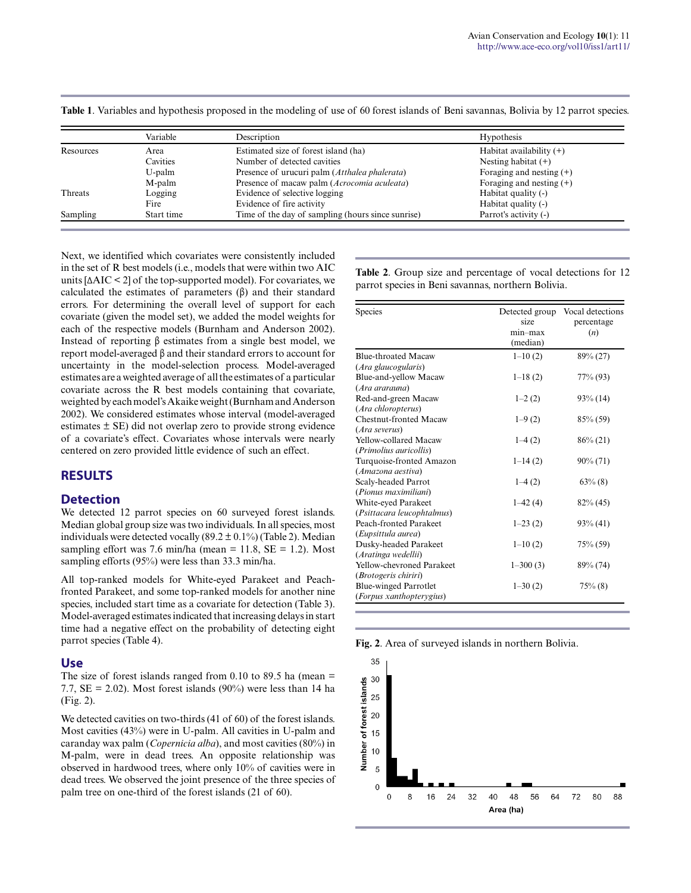|           | Variable   | Description                                       | <b>Hypothesis</b>          |
|-----------|------------|---------------------------------------------------|----------------------------|
| Resources | Area       | Estimated size of forest island (ha)              | Habitat availability $(+)$ |
|           | Cavities   | Number of detected cavities                       | Nesting habitat $(+)$      |
|           | U-palm     | Presence of urucuri palm (Atthalea phalerata)     | Foraging and nesting $(+)$ |
|           | M-palm     | Presence of macaw palm (Acrocomia aculeata)       | Foraging and nesting $(+)$ |
| Threats   | Logging    | Evidence of selective logging                     | Habitat quality (-)        |
|           | Fire       | Evidence of fire activity                         | Habitat quality (-)        |
| Sampling  | Start time | Time of the day of sampling (hours since sunrise) | Parrot's activity (-)      |

**Table 1**. Variables and hypothesis proposed in the modeling of use of 60 forest islands of Beni savannas, Bolivia by 12 parrot species.

Next, we identified which covariates were consistently included in the set of R best models (i.e., models that were within two AIC units [ΔAIC < 2] of the top-supported model). For covariates, we calculated the estimates of parameters (β) and their standard errors. For determining the overall level of support for each covariate (given the model set), we added the model weights for each of the respective models (Burnham and Anderson 2002). Instead of reporting β estimates from a single best model, we report model-averaged β and their standard errors to account for uncertainty in the model-selection process. Model-averaged estimates are a weighted average of all the estimates of a particular covariate across the R best models containing that covariate, weighted by each model's Akaike weight (Burnham and Anderson 2002). We considered estimates whose interval (model-averaged estimates ± SE) did not overlap zero to provide strong evidence of a covariate's effect. Covariates whose intervals were nearly centered on zero provided little evidence of such an effect.

## **RESULTS**

#### **Detection**

We detected 12 parrot species on 60 surveyed forest islands. Median global group size was two individuals. In all species, most individuals were detected vocally  $(89.2 \pm 0.1\%)$  (Table 2). Median sampling effort was 7.6 min/ha (mean =  $11.8$ , SE = 1.2). Most sampling efforts (95%) were less than 33.3 min/ha.

All top-ranked models for White-eyed Parakeet and Peachfronted Parakeet, and some top-ranked models for another nine species, included start time as a covariate for detection (Table 3). Model-averaged estimates indicated that increasing delays in start time had a negative effect on the probability of detecting eight parrot species (Table 4).

#### **Use**

The size of forest islands ranged from 0.10 to 89.5 ha (mean  $=$ 7.7,  $SE = 2.02$ ). Most forest islands (90%) were less than 14 ha (Fig. 2).

We detected cavities on two-thirds (41 of 60) of the forest islands. Most cavities (43%) were in U-palm. All cavities in U-palm and caranday wax palm (*Copernicia alba*), and most cavities (80%) in M-palm, were in dead trees. An opposite relationship was observed in hardwood trees, where only 10% of cavities were in dead trees. We observed the joint presence of the three species of palm tree on one-third of the forest islands (21 of 60).

**Table 2**. Group size and percentage of vocal detections for 12 parrot species in Beni savannas, northern Bolivia.

| Species                       | Detected group | Vocal detections |
|-------------------------------|----------------|------------------|
|                               | size           | percentage       |
|                               | $min-max$      | (n)              |
|                               | (median)       |                  |
| <b>Blue-throated Macaw</b>    | $1 - 10(2)$    | 89% (27)         |
| (Ara glaucogularis)           |                |                  |
| Blue-and-yellow Macaw         | $1-18(2)$      | 77% (93)         |
| (Ara ararauna)                |                |                  |
| Red-and-green Macaw           | $1-2(2)$       | $93\%$ (14)      |
| (Ara chloropterus)            |                |                  |
| <b>Chestnut-fronted Macaw</b> | $1-9(2)$       | $85\%$ (59)      |
| (Ara severus)                 |                |                  |
| <b>Yellow-collared Macaw</b>  | $1-4(2)$       | $86\% (21)$      |
| (Primolius auricollis)        |                |                  |
| Turquoise-fronted Amazon      | $1-14(2)$      | $90\% (71)$      |
| (Amazona aestiva)             |                |                  |
| Scaly-headed Parrot           | $1-4(2)$       | $63\%$ (8)       |
| (Pionus maximiliani)          |                |                  |
| White-eyed Parakeet           | $1-42(4)$      | $82\%$ (45)      |
| (Psittacara leucophtalmus)    |                |                  |
| Peach-fronted Parakeet        | $1 - 23(2)$    | $93\%$ (41)      |
| (Eupsittula aurea)            |                |                  |
| Dusky-headed Parakeet         | $1 - 10(2)$    | 75% (59)         |
| (Aratinga wedellii)           |                |                  |
| Yellow-chevroned Parakeet     | $1 - 300(3)$   | 89% (74)         |
| (Brotogeris chiriri)          |                |                  |
| <b>Blue-winged Parrotlet</b>  | $1 - 30(2)$    | $75\%$ (8)       |
| (Forpus xanthopterygius)      |                |                  |



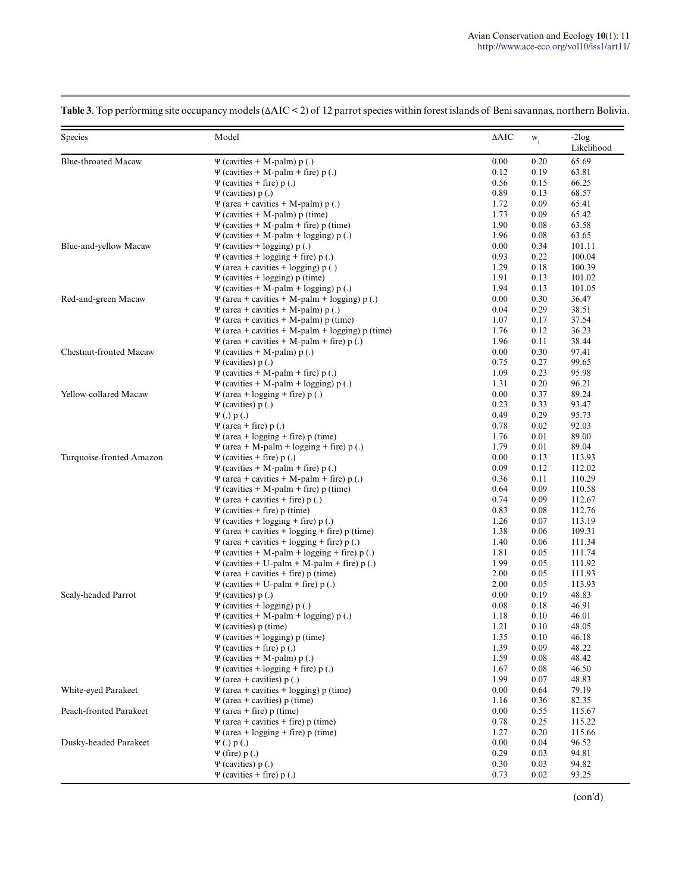| Species                       | Model                                                                              | $\triangle AIC$ | $W_i$        | $-2log$<br>Likelihood |
|-------------------------------|------------------------------------------------------------------------------------|-----------------|--------------|-----------------------|
| <b>Blue-throated Macaw</b>    | $\Psi$ (cavities + M-palm) p(.)                                                    | 0.00            | 0.20         | 65.69                 |
|                               | $\Psi$ (cavities + M-palm + fire) p(.)                                             | 0.12            | 0.19         | 63.81                 |
|                               | $\Psi$ (cavities + fire) p(.)                                                      | 0.56            | 0.15         | 66.25                 |
|                               | $\Psi$ (cavities) $p(.)$                                                           | 0.89            | 0.13         | 68.57                 |
|                               | $\Psi$ (area + cavities + M-palm) p (.)                                            | 1.72            | 0.09         | 65.41                 |
|                               | $\Psi$ (cavities + M-palm) p (time)                                                | 1.73            | 0.09         | 65.42                 |
|                               | $\Psi$ (cavities + M-palm + fire) p (time)                                         | 1.90            | 0.08         | 63.58                 |
|                               | $\Psi$ (cavities + M-palm + logging) p(.)                                          | 1.96            | 0.08         | 63.65                 |
| Blue-and-yellow Macaw         | $\Psi$ (cavities + logging) p(.)                                                   | 0.00            | 0.34         | 101.11                |
|                               | $\Psi$ (cavities + logging + fire) p(.)                                            | 0.93            | 0.22         | 100.04                |
|                               | $\Psi$ (area + cavities + logging) p(.)                                            | 1.29            | 0.18         | 100.39                |
|                               | $\Psi$ (cavities + logging) p (time)                                               | 1.91            | 0.13         | 101.02                |
|                               | $\Psi$ (cavities + M-palm + logging) p(.)                                          | 1.94            | 0.13         | 101.05                |
| Red-and-green Macaw           | $\Psi$ (area + cavities + M-palm + logging) p (.)                                  | 0.00            | 0.30         | 36.47                 |
|                               | $\Psi$ (area + cavities + M-palm) p (.)                                            | 0.04            | 0.29         | 38.51                 |
|                               | $\Psi$ (area + cavities + M-palm) p (time)                                         | 1.07            | 0.17         | 37.54                 |
|                               | $\Psi$ (area + cavities + M-palm + logging) p (time)                               | 1.76            | 0.12         | 36.23                 |
|                               | $\Psi$ (area + cavities + M-palm + fire) p (.)                                     | 1.96            | 0.11         | 38.44                 |
| <b>Chestnut-fronted Macaw</b> | $\Psi$ (cavities + M-palm) p(.)                                                    | 0.00            | 0.30         | 97.41                 |
|                               | $\Psi$ (cavities) $p(.)$                                                           | 0.75            | 0.27         | 99.65                 |
|                               | $\Psi$ (cavities + M-palm + fire) p(.)                                             | 1.09            | 0.23         | 95.98                 |
|                               | $\Psi$ (cavities + M-palm + logging) p(.)                                          | 1.31            | 0.20         | 96.21                 |
| Yellow-collared Macaw         | $\Psi$ (area + logging + fire) p(.)                                                | 0.00            | 0.37         | 89.24                 |
|                               | $\Psi$ (cavities) $p(.)$                                                           | 0.23            | 0.33         | 93.47                 |
|                               | $\Psi(.)$ p(.)                                                                     | 0.49            | 0.29         | 95.73                 |
|                               | $\Psi$ (area + fire) p (.)                                                         | 0.78            | 0.02         | 92.03                 |
|                               | $\Psi$ (area + logging + fire) p (time)                                            | 1.76            | 0.01         | 89.00                 |
|                               | $\Psi$ (area + M-palm + logging + fire) p (.)                                      | 1.79            | 0.01         | 89.04                 |
| Turquoise-fronted Amazon      | $\Psi$ (cavities + fire) p(.)                                                      | 0.00            | 0.13         | 113.93                |
|                               | $\Psi$ (cavities + M-palm + fire) p(.)                                             | 0.09            | 0.12         | 112.02                |
|                               | $\Psi$ (area + cavities + M-palm + fire) p (.)                                     | 0.36<br>0.64    | 0.11<br>0.09 | 110.29                |
|                               | $\Psi$ (cavities + M-palm + fire) p (time)<br>$\Psi$ (area + cavities + fire) p(.) | 0.74            | 0.09         | 110.58<br>112.67      |
|                               | $\Psi$ (cavities + fire) p (time)                                                  | 0.83            | 0.08         | 112.76                |
|                               | $\Psi$ (cavities + logging + fire) p(.)                                            | 1.26            | 0.07         | 113.19                |
|                               | $\Psi$ (area + cavities + logging + fire) p (time)                                 | 1.38            | 0.06         | 109.31                |
|                               | $\Psi$ (area + cavities + logging + fire) p (.)                                    | 1.40            | 0.06         | 111.34                |
|                               | $\Psi$ (cavities + M-palm + logging + fire) p(.)                                   | 1.81            | 0.05         | 111.74                |
|                               | $\Psi$ (cavities + U-palm + M-palm + fire) p (.)                                   | 1.99            | 0.05         | 111.92                |
|                               | $\Psi$ (area + cavities + fire) p (time)                                           | 2.00            | 0.05         | 111.93                |
|                               | $\Psi$ (cavities + U-palm + fire) p(.)                                             | 2.00            | 0.05         | 113.93                |
| Scaly-headed Parrot           | $\Psi$ (cavities) $p(.)$                                                           | 0.00            | 0.19         | 48.83                 |
|                               | $\Psi$ (cavities + logging) p(.)                                                   | 0.08            | 0.18         | 46.91                 |
|                               | $\Psi$ (cavities + M-palm + logging) p(.)                                          | 1.18            | 0.10         | 46.01                 |
|                               | $\Psi$ (cavities) p (time)                                                         | 1.21            | 0.10         | 48.05                 |
|                               | $\Psi$ (cavities + logging) p (time)                                               | 1.35            | 0.10         | 46.18                 |
|                               | $\Psi$ (cavities + fire) p(.)                                                      | 1.39            | 0.09         | 48.22                 |
|                               | $\Psi$ (cavities + M-palm) p(.)                                                    | 1.59            | 0.08         | 48.42                 |
|                               | $\Psi$ (cavities + logging + fire) p(.)                                            | 1.67            | 0.08         | 46.50                 |
|                               | $\Psi$ (area + cavities) p(.)                                                      | 1.99            | 0.07         | 48.83                 |
| White-eyed Parakeet           | $\Psi$ (area + cavities + logging) p (time)                                        | 0.00            | 0.64         | 79.19                 |
|                               | $\Psi$ (area + cavities) p (time)                                                  | 1.16            | 0.36         | 82.35                 |
| Peach-fronted Parakeet        | $\Psi$ (area + fire) p (time)                                                      | 0.00            | 0.55         | 115.67                |
|                               | $\Psi$ (area + cavities + fire) p (time)                                           | 0.78            | 0.25         | 115.22                |
|                               | $\Psi$ (area + logging + fire) p (time)                                            | 1.27            | 0.20         | 115.66                |
| Dusky-headed Parakeet         | $\Psi(.)$ p(.)                                                                     | 0.00            | 0.04         | 96.52                 |
|                               | $\Psi$ (fire) $p(.)$                                                               | 0.29            | 0.03         | 94.81                 |
|                               | $\Psi$ (cavities) $p(.)$                                                           | 0.30            | 0.03         | 94.82                 |
|                               | $\Psi$ (cavities + fire) $p(.)$                                                    | 0.73            | 0.02         | 93.25                 |

**Table 3**. Top performing site occupancy models (ΔAIC < 2) of 12 parrot species within forest islands of Beni savannas, northern Bolivia.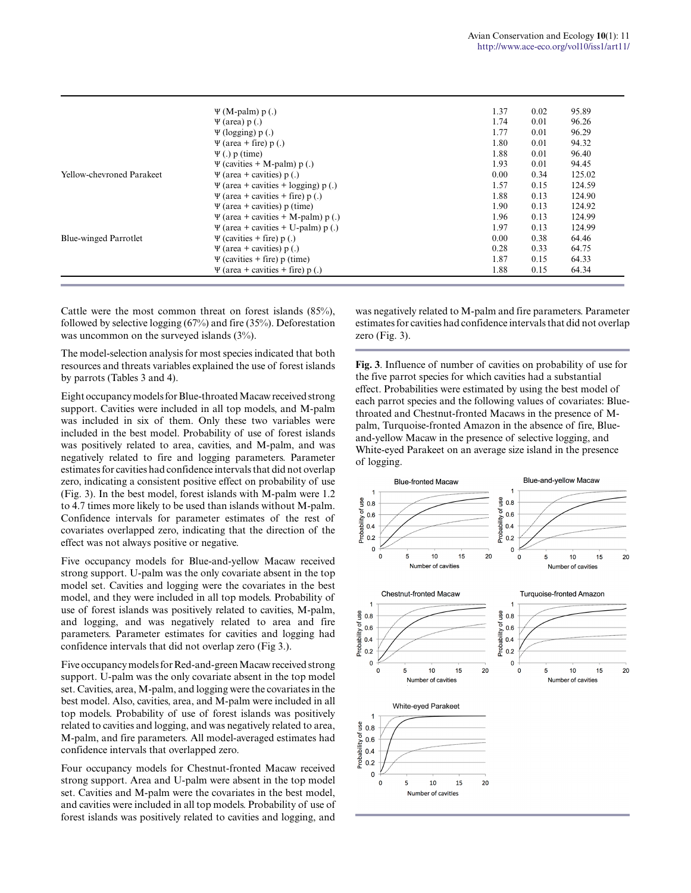|                              | $\Psi$ (M-palm) $p(.)$                  | 1.37 | 0.02 | 95.89  |
|------------------------------|-----------------------------------------|------|------|--------|
|                              | $\Psi$ (area) $p(.)$                    | 1.74 | 0.01 | 96.26  |
|                              | $\Psi$ (logging) $p(.)$                 | 1.77 | 0.01 | 96.29  |
|                              | $\Psi$ (area + fire) p (.)              | 1.80 | 0.01 | 94.32  |
|                              | $\Psi(.)$ p (time)                      | 1.88 | 0.01 | 96.40  |
|                              | $\Psi$ (cavities + M-palm) p(.)         | 1.93 | 0.01 | 94.45  |
| Yellow-chevroned Parakeet    | $\Psi$ (area + cavities) p (.)          | 0.00 | 0.34 | 125.02 |
|                              | $\Psi$ (area + cavities + logging) p(.) | 1.57 | 0.15 | 124.59 |
|                              | $\Psi$ (area + cavities + fire) p (.)   | 1.88 | 0.13 | 124.90 |
|                              | $\Psi$ (area + cavities) p (time)       | 1.90 | 0.13 | 124.92 |
|                              | $\Psi$ (area + cavities + M-palm) p (.) | 1.96 | 0.13 | 124.99 |
|                              | $\Psi$ (area + cavities + U-palm) p (.) | 1.97 | 0.13 | 124.99 |
| <b>Blue-winged Parrotlet</b> | $\Psi$ (cavities + fire) p(.)           | 0.00 | 0.38 | 64.46  |
|                              | $\Psi$ (area + cavities) p (.)          | 0.28 | 0.33 | 64.75  |
|                              | $\Psi$ (cavities + fire) p (time)       | 1.87 | 0.15 | 64.33  |
|                              | $\Psi$ (area + cavities + fire) p (.)   | 1.88 | 0.15 | 64.34  |

Cattle were the most common threat on forest islands (85%), followed by selective logging (67%) and fire (35%). Deforestation was uncommon on the surveyed islands (3%).

The model-selection analysis for most species indicated that both resources and threats variables explained the use of forest islands by parrots (Tables 3 and 4).

Eight occupancy models for Blue-throated Macaw received strong support. Cavities were included in all top models, and M-palm was included in six of them. Only these two variables were included in the best model. Probability of use of forest islands was positively related to area, cavities, and M-palm, and was negatively related to fire and logging parameters. Parameter estimates for cavities had confidence intervals that did not overlap zero, indicating a consistent positive effect on probability of use (Fig. 3). In the best model, forest islands with M-palm were 1.2 to 4.7 times more likely to be used than islands without M-palm. Confidence intervals for parameter estimates of the rest of covariates overlapped zero, indicating that the direction of the effect was not always positive or negative.

Five occupancy models for Blue-and-yellow Macaw received strong support. U-palm was the only covariate absent in the top model set. Cavities and logging were the covariates in the best model, and they were included in all top models. Probability of use of forest islands was positively related to cavities, M-palm, and logging, and was negatively related to area and fire parameters. Parameter estimates for cavities and logging had confidence intervals that did not overlap zero (Fig 3.).

Five occupancy models for Red-and-green Macaw received strong support. U-palm was the only covariate absent in the top model set. Cavities, area, M-palm, and logging were the covariates in the best model. Also, cavities, area, and M-palm were included in all top models. Probability of use of forest islands was positively related to cavities and logging, and was negatively related to area, M-palm, and fire parameters. All model-averaged estimates had confidence intervals that overlapped zero.

Four occupancy models for Chestnut-fronted Macaw received strong support. Area and U-palm were absent in the top model set. Cavities and M-palm were the covariates in the best model, and cavities were included in all top models. Probability of use of forest islands was positively related to cavities and logging, and was negatively related to M-palm and fire parameters. Parameter estimates for cavities had confidence intervals that did not overlap zero (Fig. 3).

**Fig. 3**. Influence of number of cavities on probability of use for the five parrot species for which cavities had a substantial effect. Probabilities were estimated by using the best model of each parrot species and the following values of covariates: Bluethroated and Chestnut-fronted Macaws in the presence of Mpalm, Turquoise-fronted Amazon in the absence of fire, Blueand-yellow Macaw in the presence of selective logging, and White-eyed Parakeet on an average size island in the presence of logging.

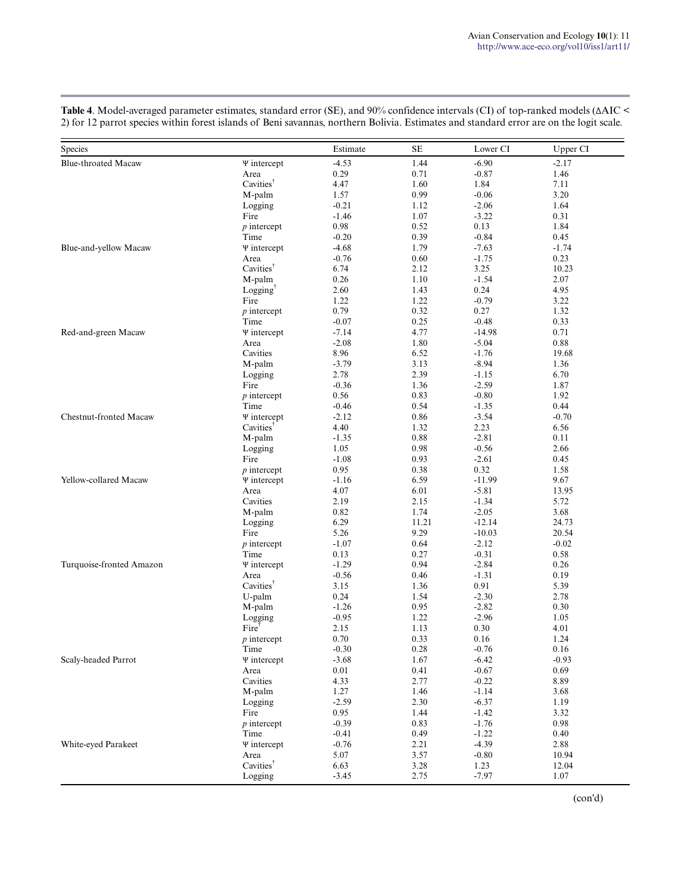| Species                    |                       | Estimate | <b>SE</b> | Lower CI | Upper CI |
|----------------------------|-----------------------|----------|-----------|----------|----------|
| <b>Blue-throated Macaw</b> | $\Psi$ intercept      | $-4.53$  | 1.44      | $-6.90$  | $-2.17$  |
|                            | Area                  | 0.29     | 0.71      | $-0.87$  | 1.46     |
|                            | Cavities <sup>†</sup> | 4.47     | 1.60      | 1.84     | 7.11     |
|                            | M-palm                | 1.57     | 0.99      | $-0.06$  | 3.20     |
|                            | Logging               | $-0.21$  | 1.12      | $-2.06$  | 1.64     |
|                            | Fire                  | $-1.46$  | 1.07      | $-3.22$  | 0.31     |
|                            | $p$ intercept         | 0.98     | 0.52      | 0.13     | 1.84     |
|                            | Time                  | $-0.20$  | 0.39      | $-0.84$  | 0.45     |
| Blue-and-yellow Macaw      | $\Psi$ intercept      | $-4.68$  | 1.79      | $-7.63$  | $-1.74$  |
|                            | Area                  | $-0.76$  | 0.60      | $-1.75$  | 0.23     |
|                            | Cavities <sup>†</sup> | 6.74     | 2.12      | 3.25     | 10.23    |
|                            | M-palm                | 0.26     | 1.10      | $-1.54$  | 2.07     |
|                            | $Logging^{\dagger}$   | 2.60     | 1.43      | 0.24     | 4.95     |
|                            | Fire                  | 1.22     | 1.22      | $-0.79$  | 3.22     |
|                            | $p$ intercept         | 0.79     | 0.32      | 0.27     | 1.32     |
|                            | Time                  | $-0.07$  | 0.25      | $-0.48$  | 0.33     |
| Red-and-green Macaw        | $\Psi$ intercept      | $-7.14$  | 4.77      | $-14.98$ | 0.71     |
|                            | Area                  | $-2.08$  | 1.80      | $-5.04$  | 0.88     |
|                            | Cavities              | 8.96     | 6.52      | $-1.76$  | 19.68    |
|                            | M-palm                | $-3.79$  | 3.13      | $-8.94$  | 1.36     |
|                            | Logging               | 2.78     | 2.39      | $-1.15$  | 6.70     |
|                            | Fire                  | $-0.36$  | 1.36      | $-2.59$  | 1.87     |
|                            | $p$ intercept         | 0.56     | 0.83      | $-0.80$  | 1.92     |
|                            | Time                  | $-0.46$  | 0.54      | $-1.35$  | 0.44     |
| Chestnut-fronted Macaw     | $\Psi$ intercept      | $-2.12$  | 0.86      | $-3.54$  | $-0.70$  |
|                            | Cavities <sup>†</sup> | 4.40     | 1.32      | 2.23     | 6.56     |
|                            | M-palm                | $-1.35$  | 0.88      | $-2.81$  | 0.11     |
|                            | Logging               | 1.05     | 0.98      | $-0.56$  | 2.66     |
|                            | Fire                  | $-1.08$  | 0.93      | $-2.61$  | 0.45     |
|                            | $p$ intercept         | 0.95     | 0.38      | 0.32     | 1.58     |
| Yellow-collared Macaw      | $\Psi$ intercept      | $-1.16$  | 6.59      | $-11.99$ | 9.67     |
|                            | Area                  | 4.07     | 6.01      | $-5.81$  | 13.95    |
|                            | Cavities              | 2.19     | 2.15      | $-1.34$  | 5.72     |
|                            | M-palm                | 0.82     | 1.74      | $-2.05$  | 3.68     |
|                            | Logging               | 6.29     | 11.21     | $-12.14$ | 24.73    |
|                            | Fire                  | 5.26     | 9.29      | $-10.03$ | 20.54    |
|                            | $p$ intercept         | $-1.07$  | 0.64      | $-2.12$  | $-0.02$  |
|                            | Time                  | 0.13     | 0.27      | $-0.31$  | 0.58     |
| Turquoise-fronted Amazon   | $\Psi$ intercept      | $-1.29$  | 0.94      | $-2.84$  | 0.26     |
|                            | Area                  | $-0.56$  | 0.46      | $-1.31$  | 0.19     |
|                            | Cavities <sup>†</sup> | 3.15     | 1.36      | 0.91     | 5.39     |
|                            | U-palm                | 0.24     | 1.54      | $-2.30$  | 2.78     |
|                            | M-palm                | $-1.26$  | 0.95      | $-2.82$  | 0.30     |
|                            | Logging               | $-0.95$  | 1.22      | $-2.96$  | 1.05     |
|                            | Fire <sup>1</sup>     | 2.15     | 1.13      | 0.30     | 4.01     |
|                            | $p$ intercept         | 0.70     | 0.33      | 0.16     | 1.24     |
|                            | Time                  | $-0.30$  | 0.28      | $-0.76$  | $0.16\,$ |
| Scaly-headed Parrot        | $\Psi$ intercept      | $-3.68$  | 1.67      | $-6.42$  | $-0.93$  |
|                            | Area                  | 0.01     | 0.41      | $-0.67$  | 0.69     |
|                            | Cavities              | 4.33     | 2.77      | $-0.22$  | 8.89     |
|                            | M-palm                | 1.27     | 1.46      | $-1.14$  | 3.68     |
|                            | Logging               | $-2.59$  | 2.30      | $-6.37$  | 1.19     |
|                            | Fire                  | 0.95     | 1.44      | $-1.42$  | 3.32     |
|                            | $p$ intercept         | $-0.39$  | 0.83      | $-1.76$  | 0.98     |
|                            | Time                  | $-0.41$  | 0.49      | $-1.22$  | 0.40     |
| White-eyed Parakeet        | $\Psi$ intercept      | $-0.76$  | 2.21      | $-4.39$  | 2.88     |
|                            | Area                  | 5.07     | 3.57      | $-0.80$  | 10.94    |
|                            | Cavities $^{\dagger}$ | 6.63     | 3.28      | 1.23     | 12.04    |
|                            | Logging               | $-3.45$  | 2.75      | $-7.97$  | 1.07     |

**Table 4**. Model-averaged parameter estimates, standard error (SE), and 90% confidence intervals (CI) of top-ranked models (ΔAIC < 2) for 12 parrot species within forest islands of Beni savannas, northern Bolivia. Estimates and standard error are on the logit scale.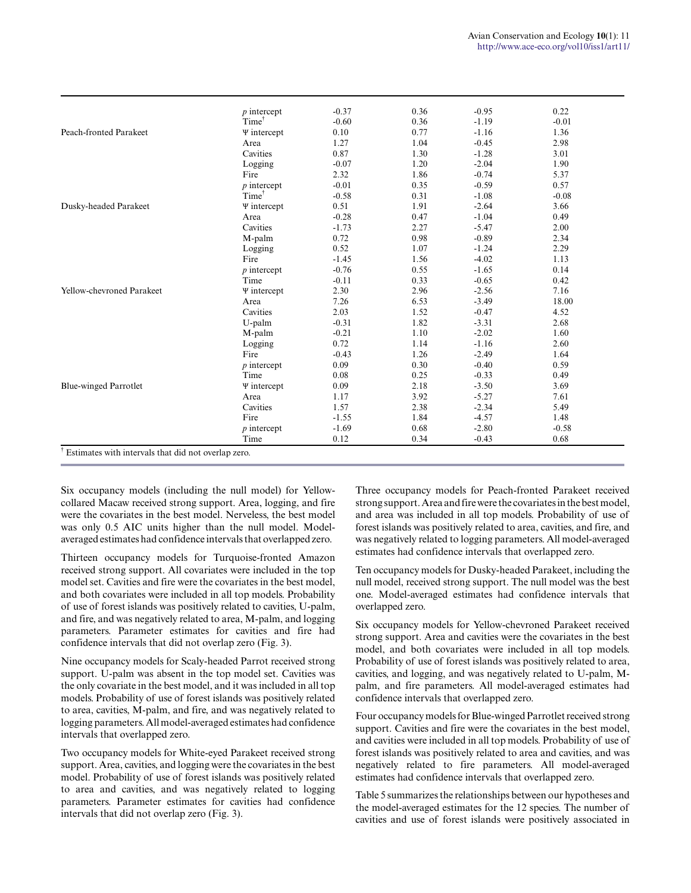|                              | $p$ intercept    | $-0.37$ | 0.36 | $-0.95$ | 0.22    |
|------------------------------|------------------|---------|------|---------|---------|
|                              | $Time^{\dagger}$ | $-0.60$ | 0.36 | $-1.19$ | $-0.01$ |
| Peach-fronted Parakeet       | Ψ intercept      | 0.10    | 0.77 | $-1.16$ | 1.36    |
|                              | Area             | 1.27    | 1.04 | $-0.45$ | 2.98    |
|                              | Cavities         | 0.87    | 1.30 | $-1.28$ | 3.01    |
|                              | Logging          | $-0.07$ | 1.20 | $-2.04$ | 1.90    |
|                              | Fire             | 2.32    | 1.86 | $-0.74$ | 5.37    |
|                              | $p$ intercept    | $-0.01$ | 0.35 | $-0.59$ | 0.57    |
|                              | $Time^{\dagger}$ | $-0.58$ | 0.31 | $-1.08$ | $-0.08$ |
| Dusky-headed Parakeet        | $\Psi$ intercept | 0.51    | 1.91 | $-2.64$ | 3.66    |
|                              | Area             | $-0.28$ | 0.47 | $-1.04$ | 0.49    |
|                              | Cavities         | $-1.73$ | 2.27 | $-5.47$ | 2.00    |
|                              | M-palm           | 0.72    | 0.98 | $-0.89$ | 2.34    |
|                              | Logging          | 0.52    | 1.07 | $-1.24$ | 2.29    |
|                              | Fire             | $-1.45$ | 1.56 | $-4.02$ | 1.13    |
|                              | $p$ intercept    | $-0.76$ | 0.55 | $-1.65$ | 0.14    |
|                              | Time             | $-0.11$ | 0.33 | $-0.65$ | 0.42    |
| Yellow-chevroned Parakeet    | $\Psi$ intercept | 2.30    | 2.96 | $-2.56$ | 7.16    |
|                              | Area             | 7.26    | 6.53 | $-3.49$ | 18.00   |
|                              | Cavities         | 2.03    | 1.52 | $-0.47$ | 4.52    |
|                              | U-palm           | $-0.31$ | 1.82 | $-3.31$ | 2.68    |
|                              | M-palm           | $-0.21$ | 1.10 | $-2.02$ | 1.60    |
|                              | Logging          | 0.72    | 1.14 | $-1.16$ | 2.60    |
|                              | Fire             | $-0.43$ | 1.26 | $-2.49$ | 1.64    |
|                              | $p$ intercept    | 0.09    | 0.30 | $-0.40$ | 0.59    |
|                              | Time             | 0.08    | 0.25 | $-0.33$ | 0.49    |
| <b>Blue-winged Parrotlet</b> | Ψ intercept      | 0.09    | 2.18 | $-3.50$ | 3.69    |
|                              | Area             | 1.17    | 3.92 | $-5.27$ | 7.61    |
|                              | Cavities         | 1.57    | 2.38 | $-2.34$ | 5.49    |
|                              | Fire             | $-1.55$ | 1.84 | $-4.57$ | 1.48    |
|                              | $p$ intercept    | $-1.69$ | 0.68 | $-2.80$ | $-0.58$ |
|                              | Time             | 0.12    | 0.34 | $-0.43$ | 0.68    |

Six occupancy models (including the null model) for Yellowcollared Macaw received strong support. Area, logging, and fire were the covariates in the best model. Nerveless, the best model was only 0.5 AIC units higher than the null model. Modelaveraged estimates had confidence intervals that overlapped zero.

Thirteen occupancy models for Turquoise-fronted Amazon received strong support. All covariates were included in the top model set. Cavities and fire were the covariates in the best model, and both covariates were included in all top models. Probability of use of forest islands was positively related to cavities, U-palm, and fire, and was negatively related to area, M-palm, and logging parameters. Parameter estimates for cavities and fire had confidence intervals that did not overlap zero (Fig. 3).

Nine occupancy models for Scaly-headed Parrot received strong support. U-palm was absent in the top model set. Cavities was the only covariate in the best model, and it was included in all top models. Probability of use of forest islands was positively related to area, cavities, M-palm, and fire, and was negatively related to logging parameters. All model-averaged estimates had confidence intervals that overlapped zero.

Two occupancy models for White-eyed Parakeet received strong support. Area, cavities, and logging were the covariates in the best model. Probability of use of forest islands was positively related to area and cavities, and was negatively related to logging parameters. Parameter estimates for cavities had confidence intervals that did not overlap zero (Fig. 3).

Three occupancy models for Peach-fronted Parakeet received strong support. Area and fire were the covariates in the best model, and area was included in all top models. Probability of use of forest islands was positively related to area, cavities, and fire, and was negatively related to logging parameters. All model-averaged estimates had confidence intervals that overlapped zero.

Ten occupancy models for Dusky-headed Parakeet, including the null model, received strong support. The null model was the best one. Model-averaged estimates had confidence intervals that overlapped zero.

Six occupancy models for Yellow-chevroned Parakeet received strong support. Area and cavities were the covariates in the best model, and both covariates were included in all top models. Probability of use of forest islands was positively related to area, cavities, and logging, and was negatively related to U-palm, Mpalm, and fire parameters. All model-averaged estimates had confidence intervals that overlapped zero.

Four occupancy models for Blue-winged Parrotlet received strong support. Cavities and fire were the covariates in the best model, and cavities were included in all top models. Probability of use of forest islands was positively related to area and cavities, and was negatively related to fire parameters. All model-averaged estimates had confidence intervals that overlapped zero.

Table 5 summarizes the relationships between our hypotheses and the model-averaged estimates for the 12 species. The number of cavities and use of forest islands were positively associated in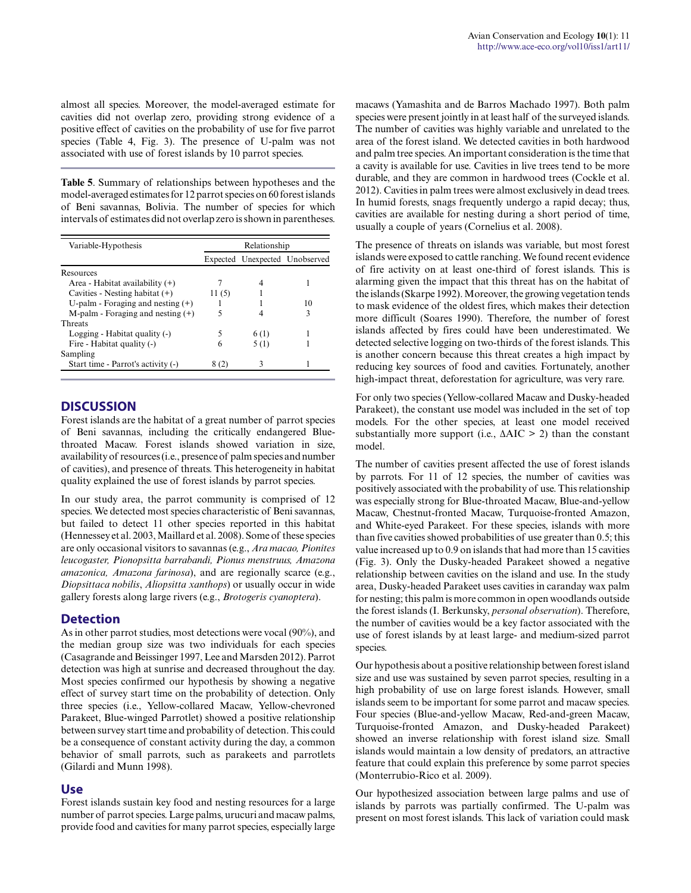almost all species. Moreover, the model-averaged estimate for cavities did not overlap zero, providing strong evidence of a positive effect of cavities on the probability of use for five parrot species (Table 4, Fig. 3). The presence of U-palm was not associated with use of forest islands by 10 parrot species.

**Table 5**. Summary of relationships between hypotheses and the model-averaged estimates for 12 parrot species on 60 forest islands of Beni savannas, Bolivia. The number of species for which intervals of estimates did not overlap zero is shown in parentheses.

| Variable-Hypothesis                 | Relationship |      |                                |  |  |
|-------------------------------------|--------------|------|--------------------------------|--|--|
|                                     |              |      | Expected Unexpected Unobserved |  |  |
| Resources                           |              |      |                                |  |  |
| Area - Habitat availability $(+)$   |              |      |                                |  |  |
| Cavities - Nesting habitat $(+)$    | 11(5)        |      |                                |  |  |
| U-palm - Foraging and nesting $(+)$ |              |      | 10                             |  |  |
| M-palm - Foraging and nesting $(+)$ | 5            |      | 3                              |  |  |
| <b>Threats</b>                      |              |      |                                |  |  |
| Logging - Habitat quality (-)       | 5            | 6(1) |                                |  |  |
| Fire - Habitat quality (-)          | h            | 5(1) |                                |  |  |
| Sampling                            |              |      |                                |  |  |
| Start time - Parrot's activity (-)  | 8 (2)        | 3    |                                |  |  |

#### **DISCUSSION**

Forest islands are the habitat of a great number of parrot species of Beni savannas, including the critically endangered Bluethroated Macaw. Forest islands showed variation in size, availability of resources (i.e., presence of palm species and number of cavities), and presence of threats. This heterogeneity in habitat quality explained the use of forest islands by parrot species.

In our study area, the parrot community is comprised of 12 species. We detected most species characteristic of Beni savannas, but failed to detect 11 other species reported in this habitat (Hennessey et al. 2003, Maillard et al. 2008). Some of these species are only occasional visitors to savannas (e.g., *Ara macao, Pionites leucogaster, Pionopsitta barrabandi, Pionus menstruus, Amazona amazonica, Amazona farinosa*), and are regionally scarce (e.g., *Diopsittaca nobilis*, *Aliopsitta xanthops*) or usually occur in wide gallery forests along large rivers (e.g., *Brotogeris cyanoptera*).

## **Detection**

As in other parrot studies, most detections were vocal (90%), and the median group size was two individuals for each species (Casagrande and Beissinger 1997, Lee and Marsden 2012). Parrot detection was high at sunrise and decreased throughout the day. Most species confirmed our hypothesis by showing a negative effect of survey start time on the probability of detection. Only three species (i.e., Yellow-collared Macaw, Yellow-chevroned Parakeet, Blue-winged Parrotlet) showed a positive relationship between survey start time and probability of detection. This could be a consequence of constant activity during the day, a common behavior of small parrots, such as parakeets and parrotlets (Gilardi and Munn 1998).

#### **Use**

Forest islands sustain key food and nesting resources for a large number of parrot species. Large palms, urucuri and macaw palms, provide food and cavities for many parrot species, especially large macaws (Yamashita and de Barros Machado 1997). Both palm species were present jointly in at least half of the surveyed islands. The number of cavities was highly variable and unrelated to the area of the forest island. We detected cavities in both hardwood and palm tree species. An important consideration is the time that a cavity is available for use. Cavities in live trees tend to be more durable, and they are common in hardwood trees (Cockle et al. 2012). Cavities in palm trees were almost exclusively in dead trees. In humid forests, snags frequently undergo a rapid decay; thus, cavities are available for nesting during a short period of time, usually a couple of years (Cornelius et al. 2008).

The presence of threats on islands was variable, but most forest islands were exposed to cattle ranching. We found recent evidence of fire activity on at least one-third of forest islands. This is alarming given the impact that this threat has on the habitat of the islands (Skarpe 1992). Moreover, the growing vegetation tends to mask evidence of the oldest fires, which makes their detection more difficult (Soares 1990). Therefore, the number of forest islands affected by fires could have been underestimated. We detected selective logging on two-thirds of the forest islands. This is another concern because this threat creates a high impact by reducing key sources of food and cavities. Fortunately, another high-impact threat, deforestation for agriculture, was very rare.

For only two species (Yellow-collared Macaw and Dusky-headed Parakeet), the constant use model was included in the set of top models. For the other species, at least one model received substantially more support (i.e.,  $\Delta AIC > 2$ ) than the constant model.

The number of cavities present affected the use of forest islands by parrots. For 11 of 12 species, the number of cavities was positively associated with the probability of use. This relationship was especially strong for Blue-throated Macaw, Blue-and-yellow Macaw, Chestnut-fronted Macaw, Turquoise-fronted Amazon, and White-eyed Parakeet. For these species, islands with more than five cavities showed probabilities of use greater than 0.5; this value increased up to 0.9 on islands that had more than 15 cavities (Fig. 3). Only the Dusky-headed Parakeet showed a negative relationship between cavities on the island and use. In the study area, Dusky-headed Parakeet uses cavities in caranday wax palm for nesting; this palm is more common in open woodlands outside the forest islands (I. Berkunsky, *personal observation*). Therefore, the number of cavities would be a key factor associated with the use of forest islands by at least large- and medium-sized parrot species.

Our hypothesis about a positive relationship between forest island size and use was sustained by seven parrot species, resulting in a high probability of use on large forest islands. However, small islands seem to be important for some parrot and macaw species. Four species (Blue-and-yellow Macaw, Red-and-green Macaw, Turquoise-fronted Amazon, and Dusky-headed Parakeet) showed an inverse relationship with forest island size. Small islands would maintain a low density of predators, an attractive feature that could explain this preference by some parrot species (Monterrubio-Rico et al. 2009).

Our hypothesized association between large palms and use of islands by parrots was partially confirmed. The U-palm was present on most forest islands. This lack of variation could mask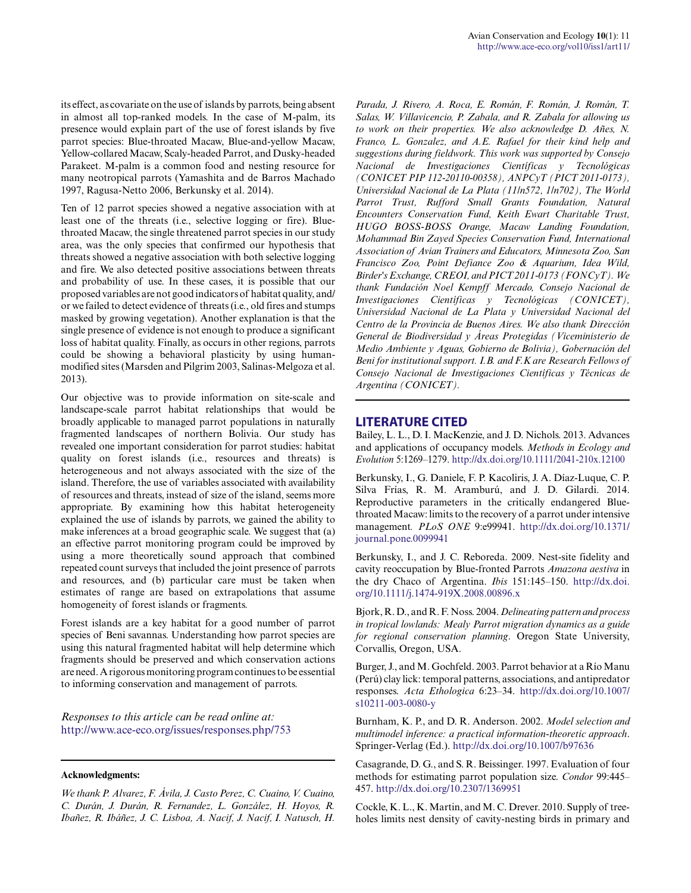its effect, as covariate on the use of islands by parrots, being absent in almost all top-ranked models. In the case of M-palm, its presence would explain part of the use of forest islands by five parrot species: Blue-throated Macaw, Blue-and-yellow Macaw, Yellow-collared Macaw, Scaly-headed Parrot, and Dusky-headed Parakeet. M-palm is a common food and nesting resource for many neotropical parrots (Yamashita and de Barros Machado 1997, Ragusa-Netto 2006, Berkunsky et al. 2014).

Ten of 12 parrot species showed a negative association with at least one of the threats (i.e., selective logging or fire). Bluethroated Macaw, the single threatened parrot species in our study area, was the only species that confirmed our hypothesis that threats showed a negative association with both selective logging and fire. We also detected positive associations between threats and probability of use. In these cases, it is possible that our proposed variables are not good indicators of habitat quality, and/ or we failed to detect evidence of threats (i.e., old fires and stumps masked by growing vegetation). Another explanation is that the single presence of evidence is not enough to produce a significant loss of habitat quality. Finally, as occurs in other regions, parrots could be showing a behavioral plasticity by using humanmodified sites (Marsden and Pilgrim 2003, Salinas-Melgoza et al. 2013).

Our objective was to provide information on site-scale and landscape-scale parrot habitat relationships that would be broadly applicable to managed parrot populations in naturally fragmented landscapes of northern Bolivia. Our study has revealed one important consideration for parrot studies: habitat quality on forest islands (i.e., resources and threats) is heterogeneous and not always associated with the size of the island. Therefore, the use of variables associated with availability of resources and threats, instead of size of the island, seems more appropriate. By examining how this habitat heterogeneity explained the use of islands by parrots, we gained the ability to make inferences at a broad geographic scale. We suggest that (a) an effective parrot monitoring program could be improved by using a more theoretically sound approach that combined repeated count surveys that included the joint presence of parrots and resources, and (b) particular care must be taken when estimates of range are based on extrapolations that assume homogeneity of forest islands or fragments.

Forest islands are a key habitat for a good number of parrot species of Beni savannas. Understanding how parrot species are using this natural fragmented habitat will help determine which fragments should be preserved and which conservation actions are need. A rigorous monitoring program continues to be essential to informing conservation and management of parrots.

*Responses to this article can be read online at:* <http://www.ace-eco.org/issues/responses.php/753>

#### **Acknowledgments:**

*We thank P. Alvarez, F. Ávila, J. Casto Perez, C. Cuaino, V. Cuaino, C. Durán, J. Durán, R. Fernandez, L. González, H. Hoyos, R. Ibañez, R. Ibáñez, J. C. Lisboa, A. Nacif, J. Nacif, I. Natusch, H.*

*Parada, J. Rivero, A. Roca, E. Román, F. Román, J. Román, T. Salas, W. Villavicencio, P. Zabala, and R. Zabala for allowing us to work on their properties. We also acknowledge D. Añes, N. Franco, L. Gonzalez, and A.E. Rafael for their kind help and suggestions during fieldwork. This work was supported by Consejo Nacional de Investigaciones Científicas y Tecnológicas (CONICET PIP 112-20110-00358), ANPCyT (PICT 2011-0173), Universidad Nacional de La Plata (11/n572, 1/n702), The World Parrot Trust, Rufford Small Grants Foundation, Natural Encounters Conservation Fund, Keith Ewart Charitable Trust, HUGO BOSS-BOSS Orange, Macaw Landing Foundation, Mohammad Bin Zayed Species Conservation Fund, International Association of Avian Trainers and Educators, Minnesota Zoo, San Francisco Zoo, Point Defiance Zoo & Aquarium, Idea Wild, Birder's Exchange, CREOI, and PICT 2011-0173 (FONCyT). We thank Fundación Noel Kempff Mercado, Consejo Nacional de Investigaciones Científicas y Tecnológicas (CONICET), Universidad Nacional de La Plata y Universidad Nacional del Centro de la Provincia de Buenos Aires. We also thank Dirección General de Biodiversidad y Áreas Protegidas (Viceministerio de Medio Ambiente y Aguas, Gobierno de Bolivia), Gobernación del Beni for institutional support. I.B. and F.K are Research Fellows of Consejo Nacional de Investigaciones Científicas y Técnicas de Argentina (CONICET).*

#### **LITERATURE CITED**

Bailey, L. L., D. I. MacKenzie, and J. D. Nichols. 2013. Advances and applications of occupancy models. *Methods in Ecology and Evolution* 5:1269–1279. [http://dx.doi.org/10.1111/2041-210x.12100](http://dx.doi.org/10.1111%2F2041-210x.12100) 

Berkunsky, I., G. Daniele, F. P. Kacoliris, J. A. Díaz-Luque, C. P. Silva Frías, R. M. Aramburú, and J. D. Gilardi. 2014. Reproductive parameters in the critically endangered Bluethroated Macaw: limits to the recovery of a parrot under intensive management*. PLoS ONE* 9:e99941. [http://dx.doi.org/10.1371/](http://dx.doi.org/10.1371%2Fjournal.pone.0099941) [journal.pone.0099941](http://dx.doi.org/10.1371%2Fjournal.pone.0099941)

Berkunsky, I., and J. C. Reboreda. 2009. Nest-site fidelity and cavity reoccupation by Blue-fronted Parrots *Amazona aestiva* in the dry Chaco of Argentina. *Ibis* 151:145–150. [http://dx.doi.](http://dx.doi.org/10.1111%2Fj.1474-919X.2008.00896.x) [org/10.1111/j.1474-919X.2008.00896.x](http://dx.doi.org/10.1111%2Fj.1474-919X.2008.00896.x) 

Bjork, R. D., and R. F. Noss. 2004. *Delineating pattern and process in tropical lowlands: Mealy Parrot migration dynamics as a guide for regional conservation planning*. Oregon State University, Corvallis, Oregon, USA.

Burger, J., and M. Gochfeld. 2003. Parrot behavior at a Río Manu (Perú) clay lick: temporal patterns, associations, and antipredator responses. *Acta Ethologica* 6:23–34. [http://dx.doi.org/10.1007/](http://dx.doi.org/10.1007%2Fs10211-003-0080-y) [s10211-003-0080-y](http://dx.doi.org/10.1007%2Fs10211-003-0080-y) 

Burnham, K. P., and D. R. Anderson. 2002. *Model selection and multimodel inference: a practical information-theoretic approach*. Springer-Verlag (Ed.). [http://dx.doi.org/10.1007/b97636](http://dx.doi.org/10.1007%2Fb97636)

Casagrande, D. G., and S. R. Beissinger. 1997. Evaluation of four methods for estimating parrot population size. *Condor* 99:445– 457. [http://dx.doi.org/10.2307/1369951](http://dx.doi.org/10.2307%2F1369951)

Cockle, K. L., K. Martin, and M. C. Drever. 2010. Supply of treeholes limits nest density of cavity-nesting birds in primary and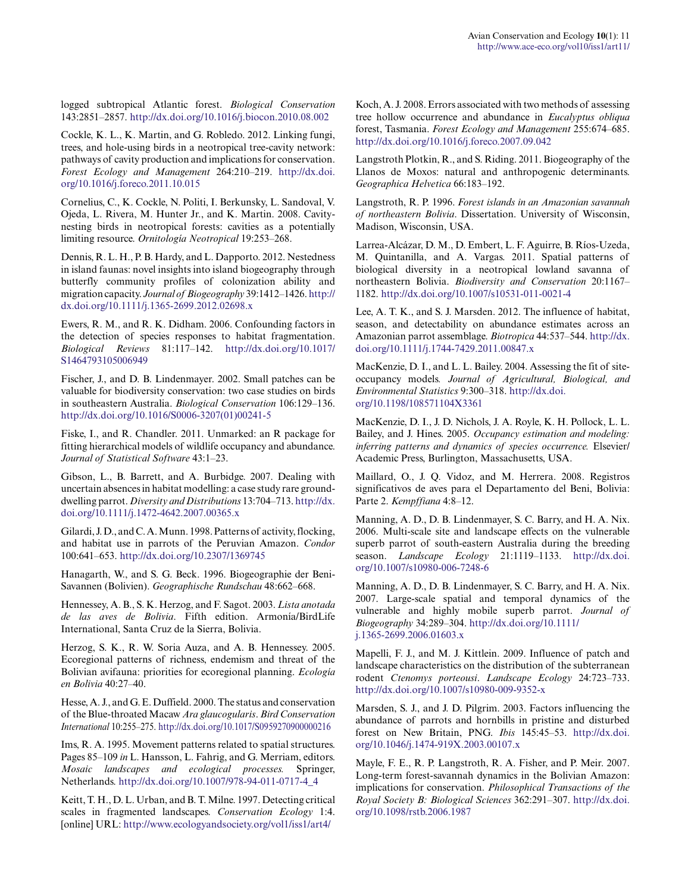logged subtropical Atlantic forest. *Biological Conservation* 143:2851–2857. [http://dx.doi.org/10.1016/j.biocon.2010.08.002](http://dx.doi.org/10.1016%2Fj.biocon.2010.08.002)

Cockle, K. L., K. Martin, and G. Robledo. 2012. Linking fungi, trees, and hole-using birds in a neotropical tree-cavity network: pathways of cavity production and implications for conservation. *Forest Ecology and Management* 264:210–219. [http://dx.doi.](http://dx.doi.org/10.1016%2Fj.foreco.2011.10.015) [org/10.1016/j.foreco.2011.10.015](http://dx.doi.org/10.1016%2Fj.foreco.2011.10.015)

Cornelius, C., K. Cockle, N. Politi, I. Berkunsky, L. Sandoval, V. Ojeda, L. Rivera, M. Hunter Jr., and K. Martin. 2008. Cavitynesting birds in neotropical forests: cavities as a potentially limiting resource. *Ornitología Neotropical* 19:253–268.

Dennis, R. L. H., P. B. Hardy, and L. Dapporto. 2012. Nestedness in island faunas: novel insights into island biogeography through butterfly community profiles of colonization ability and migration capacity. *Journal of Biogeography* 39:1412–1426. [http://](http://dx.doi.org/10.1111%2Fj.1365-2699.2012.02698.x) [dx.doi.org/10.1111/j.1365-2699.2012.02698.x](http://dx.doi.org/10.1111%2Fj.1365-2699.2012.02698.x)

Ewers, R. M., and R. K. Didham. 2006. Confounding factors in the detection of species responses to habitat fragmentation. *Biological Reviews* 81:117–142. [http://dx.doi.org/10.1017/](http://dx.doi.org/10.1017%2FS1464793105006949) [S1464793105006949](http://dx.doi.org/10.1017%2FS1464793105006949) 

Fischer, J., and D. B. Lindenmayer. 2002. Small patches can be valuable for biodiversity conservation: two case studies on birds in southeastern Australia. *Biological Conservation* 106:129–136. [http://dx.doi.org/10.1016/S0006-3207\(01\)00241-5](http://dx.doi.org/10.1016%2FS0006-3207%2801%2900241-5)

Fiske, I., and R. Chandler. 2011. Unmarked: an R package for fitting hierarchical models of wildlife occupancy and abundance. *Journal of Statistical Software* 43:1–23.

Gibson, L., B. Barrett, and A. Burbidge. 2007. Dealing with uncertain absences in habitat modelling: a case study rare grounddwelling parrot. *Diversity and Distributions* 13:704–713. [http://dx.](http://dx.doi.org/10.1111%2Fj.1472-4642.2007.00365.x) [doi.org/10.1111/j.1472-4642.2007.00365.x](http://dx.doi.org/10.1111%2Fj.1472-4642.2007.00365.x)

Gilardi, J. D., and C. A. Munn. 1998. Patterns of activity, flocking, and habitat use in parrots of the Peruvian Amazon. *Condor* 100:641–653. [http://dx.doi.org/10.2307/1369745](http://dx.doi.org/10.2307%2F1369745) 

Hanagarth, W., and S. G. Beck. 1996. Biogeographie der Beni-Savannen (Bolivien). *Geographische Rundschau* 48:662–668.

Hennessey, A. B., S. K. Herzog, and F. Sagot. 2003. *Lista anotada de las aves de Bolivia*. Fifth edition. Armonía/BirdLife International, Santa Cruz de la Sierra, Bolivia.

Herzog, S. K., R. W. Soria Auza, and A. B. Hennessey. 2005. Ecoregional patterns of richness, endemism and threat of the Bolivian avifauna: priorities for ecoregional planning. *Ecología en Bolivia* 40:27–40.

Hesse, A. J., and G. E. Duffield. 2000. The status and conservation of the Blue-throated Macaw *Ara glaucogularis*. *Bird Conservation International* 10:255–275. [http://dx.doi.org/10.1017/S0959270900000216](http://dx.doi.org/10.1017%2FS0959270900000216)

Ims, R. A. 1995. Movement patterns related to spatial structures. Pages 85–109 *in* L. Hansson, L. Fahrig, and G. Merriam, editors. *Mosaic landscapes and ecological processes.* Springer, Netherlands. [http://dx.doi.org/10.1007/978-94-011-0717-4\\_4](http://dx.doi.org/10.1007%2F978-94-011-0717-4_4) 

Keitt, T. H., D. L. Urban, and B. T. Milne. 1997. Detecting critical scales in fragmented landscapes. *Conservation Ecology* 1:4. [online] URL:<http://www.ecologyandsociety.org/vol1/iss1/art4/>

Koch, A. J. 2008. Errors associated with two methods of assessing tree hollow occurrence and abundance in *Eucalyptus obliqua* forest, Tasmania. *Forest Ecology and Management* 255:674–685. [http://dx.doi.org/10.1016/j.foreco.2007.09.042](http://dx.doi.org/10.1016%2Fj.foreco.2007.09.042)

Langstroth Plotkin, R., and S. Riding. 2011. Biogeography of the Llanos de Moxos: natural and anthropogenic determinants. *Geographica Helvetica* 66:183–192.

Langstroth, R. P. 1996. *Forest islands in an Amazonian savannah of northeastern Bolivia*. Dissertation. University of Wisconsin, Madison, Wisconsin, USA.

Larrea-Alcázar, D. M., D. Embert, L. F. Aguirre, B. Ríos-Uzeda, M. Quintanilla, and A. Vargas. 2011. Spatial patterns of biological diversity in a neotropical lowland savanna of northeastern Bolivia. *Biodiversity and Conservation* 20:1167– 1182. [http://dx.doi.org/10.1007/s10531-011-0021-4](http://dx.doi.org/10.1007%2Fs10531-011-0021-4) 

Lee, A. T. K., and S. J. Marsden. 2012. The influence of habitat, season, and detectability on abundance estimates across an Amazonian parrot assemblage. *Biotropica* 44:537–544. [http://dx.](http://dx.doi.org/10.1111%2Fj.1744-7429.2011.00847.x) [doi.org/10.1111/j.1744-7429.2011.00847.x](http://dx.doi.org/10.1111%2Fj.1744-7429.2011.00847.x)

MacKenzie, D. I., and L. L. Bailey. 2004. Assessing the fit of siteoccupancy models*. Journal of Agricultural, Biological, and Environmental Statistics* 9:300–318. [http://dx.doi.](http://dx.doi.org/10.1198%2F108571104X3361) [org/10.1198/108571104X3361](http://dx.doi.org/10.1198%2F108571104X3361) 

MacKenzie, D. I., J. D. Nichols, J. A. Royle, K. H. Pollock, L. L. Bailey, and J. Hines. 2005. *Occupancy estimation and modeling: inferring patterns and dynamics of species occurrence.* Elsevier/ Academic Press, Burlington, Massachusetts, USA.

Maillard, O., J. Q. Vidoz, and M. Herrera. 2008. Registros significativos de aves para el Departamento del Beni, Bolivia: Parte 2. *Kempffiana* 4:8–12.

Manning, A. D., D. B. Lindenmayer, S. C. Barry, and H. A. Nix. 2006. Multi-scale site and landscape effects on the vulnerable superb parrot of south-eastern Australia during the breeding season. *Landscape Ecology* 21:1119–1133. [http://dx.doi.](http://dx.doi.org/10.1007%2Fs10980-006-7248-6) [org/10.1007/s10980-006-7248-6](http://dx.doi.org/10.1007%2Fs10980-006-7248-6)

Manning, A. D., D. B. Lindenmayer, S. C. Barry, and H. A. Nix. 2007. Large-scale spatial and temporal dynamics of the vulnerable and highly mobile superb parrot. *Journal of Biogeography* 34:289–304. [http://dx.doi.org/10.1111/](http://dx.doi.org/10.1111%2Fj.1365-2699.2006.01603.x) [j.1365-2699.2006.01603.x](http://dx.doi.org/10.1111%2Fj.1365-2699.2006.01603.x)

Mapelli, F. J., and M. J. Kittlein. 2009. Influence of patch and landscape characteristics on the distribution of the subterranean rodent *Ctenomys porteousi*. *Landscape Ecology* 24:723–733. [http://dx.doi.org/10.1007/s10980-009-9352-x](http://dx.doi.org/10.1007%2Fs10980-009-9352-x)

Marsden, S. J., and J. D. Pilgrim. 2003. Factors influencing the abundance of parrots and hornbills in pristine and disturbed forest on New Britain, PNG. *Ibis* 145:45–53. [http://dx.doi.](http://dx.doi.org/10.1046%2Fj.1474-919X.2003.00107.x) [org/10.1046/j.1474-919X.2003.00107.x](http://dx.doi.org/10.1046%2Fj.1474-919X.2003.00107.x) 

Mayle, F. E., R. P. Langstroth, R. A. Fisher, and P. Meir. 2007. Long-term forest-savannah dynamics in the Bolivian Amazon: implications for conservation. *Philosophical Transactions of the Royal Society B: Biological Sciences* 362:291–307. [http://dx.doi.](http://dx.doi.org/10.1098%2Frstb.2006.1987) [org/10.1098/rstb.2006.1987](http://dx.doi.org/10.1098%2Frstb.2006.1987)